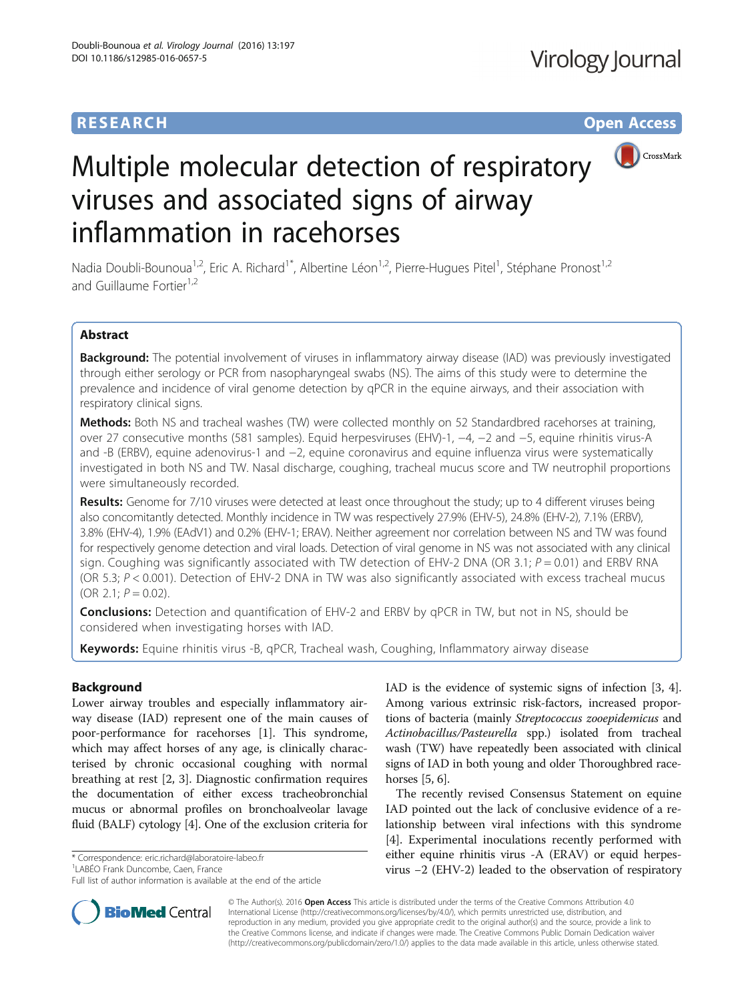## **RESEARCH RESEARCH** *CHECKER CHECKER CHECKER CHECKER CHECKER CHECKER CHECKER CHECKER CHECKER CHECKER CHECKER*



# Multiple molecular detection of respiratory viruses and associated signs of airway inflammation in racehorses

Nadia Doubli-Bounoua<sup>1,2</sup>, Eric A. Richard<sup>1\*</sup>, Albertine Léon<sup>1,2</sup>, Pierre-Hugues Pitel<sup>1</sup>, Stéphane Pronost<sup>1,2</sup> and Guillaume Fortier<sup>1,2</sup>

## Abstract

Background: The potential involvement of viruses in inflammatory airway disease (IAD) was previously investigated through either serology or PCR from nasopharyngeal swabs (NS). The aims of this study were to determine the prevalence and incidence of viral genome detection by qPCR in the equine airways, and their association with respiratory clinical signs.

Methods: Both NS and tracheal washes (TW) were collected monthly on 52 Standardbred racehorses at training, over 27 consecutive months (581 samples). Equid herpesviruses (EHV)-1, −4, −2 and −5, equine rhinitis virus-A and -B (ERBV), equine adenovirus-1 and −2, equine coronavirus and equine influenza virus were systematically investigated in both NS and TW. Nasal discharge, coughing, tracheal mucus score and TW neutrophil proportions were simultaneously recorded.

Results: Genome for 7/10 viruses were detected at least once throughout the study; up to 4 different viruses being also concomitantly detected. Monthly incidence in TW was respectively 27.9% (EHV-5), 24.8% (EHV-2), 7.1% (ERBV), 3.8% (EHV-4), 1.9% (EAdV1) and 0.2% (EHV-1; ERAV). Neither agreement nor correlation between NS and TW was found for respectively genome detection and viral loads. Detection of viral genome in NS was not associated with any clinical sign. Coughing was significantly associated with TW detection of EHV-2 DNA (OR 3.1;  $P = 0.01$ ) and ERBV RNA (OR 5.3; P < 0.001). Detection of EHV-2 DNA in TW was also significantly associated with excess tracheal mucus (OR 2.1;  $P = 0.02$ ).

**Conclusions:** Detection and quantification of EHV-2 and ERBV by qPCR in TW, but not in NS, should be considered when investigating horses with IAD.

Keywords: Equine rhinitis virus -B, qPCR, Tracheal wash, Coughing, Inflammatory airway disease

## Background

Lower airway troubles and especially inflammatory airway disease (IAD) represent one of the main causes of poor-performance for racehorses [\[1](#page-6-0)]. This syndrome, which may affect horses of any age, is clinically characterised by chronic occasional coughing with normal breathing at rest [\[2, 3](#page-6-0)]. Diagnostic confirmation requires the documentation of either excess tracheobronchial mucus or abnormal profiles on bronchoalveolar lavage fluid (BALF) cytology [[4\]](#page-6-0). One of the exclusion criteria for

\* Correspondence: [eric.richard@laboratoire-labeo.fr](mailto:eric.richard@laboratoire-labeo.fr) <sup>1</sup>

LABÉO Frank Duncombe, Caen, France

Full list of author information is available at the end of the article

IAD is the evidence of systemic signs of infection [[3, 4](#page-6-0)]. Among various extrinsic risk-factors, increased proportions of bacteria (mainly Streptococcus zooepidemicus and Actinobacillus/Pasteurella spp.) isolated from tracheal wash (TW) have repeatedly been associated with clinical signs of IAD in both young and older Thoroughbred racehorses [[5, 6](#page-6-0)].

The recently revised Consensus Statement on equine IAD pointed out the lack of conclusive evidence of a relationship between viral infections with this syndrome [[4\]](#page-6-0). Experimental inoculations recently performed with either equine rhinitis virus -A (ERAV) or equid herpesvirus −2 (EHV-2) leaded to the observation of respiratory



© The Author(s). 2016 Open Access This article is distributed under the terms of the Creative Commons Attribution 4.0 International License [\(http://creativecommons.org/licenses/by/4.0/](http://creativecommons.org/licenses/by/4.0/)), which permits unrestricted use, distribution, and reproduction in any medium, provided you give appropriate credit to the original author(s) and the source, provide a link to the Creative Commons license, and indicate if changes were made. The Creative Commons Public Domain Dedication waiver [\(http://creativecommons.org/publicdomain/zero/1.0/](http://creativecommons.org/publicdomain/zero/1.0/)) applies to the data made available in this article, unless otherwise stated.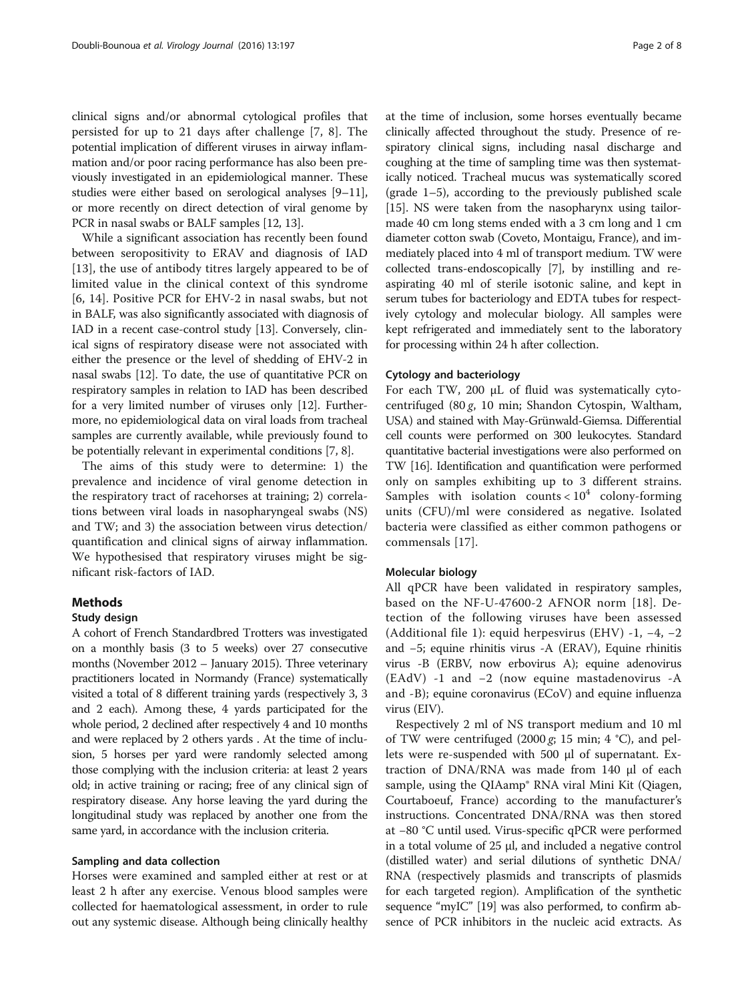clinical signs and/or abnormal cytological profiles that persisted for up to 21 days after challenge [[7](#page-6-0), [8](#page-6-0)]. The potential implication of different viruses in airway inflammation and/or poor racing performance has also been previously investigated in an epidemiological manner. These studies were either based on serological analyses [\[9](#page-6-0)–[11](#page-6-0)], or more recently on direct detection of viral genome by PCR in nasal swabs or BALF samples [[12](#page-6-0), [13\]](#page-6-0).

While a significant association has recently been found between seropositivity to ERAV and diagnosis of IAD [[13](#page-6-0)], the use of antibody titres largely appeared to be of limited value in the clinical context of this syndrome [[6, 14](#page-6-0)]. Positive PCR for EHV-2 in nasal swabs, but not in BALF, was also significantly associated with diagnosis of IAD in a recent case-control study [[13](#page-6-0)]. Conversely, clinical signs of respiratory disease were not associated with either the presence or the level of shedding of EHV-2 in nasal swabs [\[12\]](#page-6-0). To date, the use of quantitative PCR on respiratory samples in relation to IAD has been described for a very limited number of viruses only [\[12\]](#page-6-0). Furthermore, no epidemiological data on viral loads from tracheal samples are currently available, while previously found to be potentially relevant in experimental conditions [\[7](#page-6-0), [8](#page-6-0)].

The aims of this study were to determine: 1) the prevalence and incidence of viral genome detection in the respiratory tract of racehorses at training; 2) correlations between viral loads in nasopharyngeal swabs (NS) and TW; and 3) the association between virus detection/ quantification and clinical signs of airway inflammation. We hypothesised that respiratory viruses might be significant risk-factors of IAD.

## **Methods**

### Study design

A cohort of French Standardbred Trotters was investigated on a monthly basis (3 to 5 weeks) over 27 consecutive months (November 2012 – January 2015). Three veterinary practitioners located in Normandy (France) systematically visited a total of 8 different training yards (respectively 3, 3 and 2 each). Among these, 4 yards participated for the whole period, 2 declined after respectively 4 and 10 months and were replaced by 2 others yards . At the time of inclusion, 5 horses per yard were randomly selected among those complying with the inclusion criteria: at least 2 years old; in active training or racing; free of any clinical sign of respiratory disease. Any horse leaving the yard during the longitudinal study was replaced by another one from the same yard, in accordance with the inclusion criteria.

## Sampling and data collection

Horses were examined and sampled either at rest or at least 2 h after any exercise. Venous blood samples were collected for haematological assessment, in order to rule out any systemic disease. Although being clinically healthy at the time of inclusion, some horses eventually became clinically affected throughout the study. Presence of respiratory clinical signs, including nasal discharge and coughing at the time of sampling time was then systematically noticed. Tracheal mucus was systematically scored (grade 1–5), according to the previously published scale [[15](#page-6-0)]. NS were taken from the nasopharynx using tailormade 40 cm long stems ended with a 3 cm long and 1 cm diameter cotton swab (Coveto, Montaigu, France), and immediately placed into 4 ml of transport medium. TW were collected trans-endoscopically [\[7](#page-6-0)], by instilling and reaspirating 40 ml of sterile isotonic saline, and kept in serum tubes for bacteriology and EDTA tubes for respectively cytology and molecular biology. All samples were kept refrigerated and immediately sent to the laboratory for processing within 24 h after collection.

## Cytology and bacteriology

For each TW, 200 μL of fluid was systematically cytocentrifuged  $(80 g, 10 min; Shandon Cytospin, Waltham,$ USA) and stained with May-Grünwald-Giemsa. Differential cell counts were performed on 300 leukocytes. Standard quantitative bacterial investigations were also performed on TW [\[16\]](#page-7-0). Identification and quantification were performed only on samples exhibiting up to 3 different strains. Samples with isolation counts  $< 10<sup>4</sup>$  colony-forming units (CFU)/ml were considered as negative. Isolated bacteria were classified as either common pathogens or commensals [[17](#page-7-0)].

## Molecular biology

All qPCR have been validated in respiratory samples, based on the NF-U-47600-2 AFNOR norm [[18\]](#page-7-0). Detection of the following viruses have been assessed (Additional file [1\)](#page-6-0): equid herpesvirus (EHV) -1, −4, −2 and −5; equine rhinitis virus -A (ERAV), Equine rhinitis virus -B (ERBV, now erbovirus A); equine adenovirus (EAdV) -1 and −2 (now equine mastadenovirus -A and -B); equine coronavirus (ECoV) and equine influenza virus (EIV).

Respectively 2 ml of NS transport medium and 10 ml of TW were centrifuged (2000 g; 15 min; 4 °C), and pellets were re-suspended with 500 μl of supernatant. Extraction of DNA/RNA was made from 140 μl of each sample, using the QIAamp® RNA viral Mini Kit (Qiagen, Courtaboeuf, France) according to the manufacturer's instructions. Concentrated DNA/RNA was then stored at −80 °C until used. Virus-specific qPCR were performed in a total volume of 25 μl, and included a negative control (distilled water) and serial dilutions of synthetic DNA/ RNA (respectively plasmids and transcripts of plasmids for each targeted region). Amplification of the synthetic sequence "myIC" [[19](#page-7-0)] was also performed, to confirm absence of PCR inhibitors in the nucleic acid extracts. As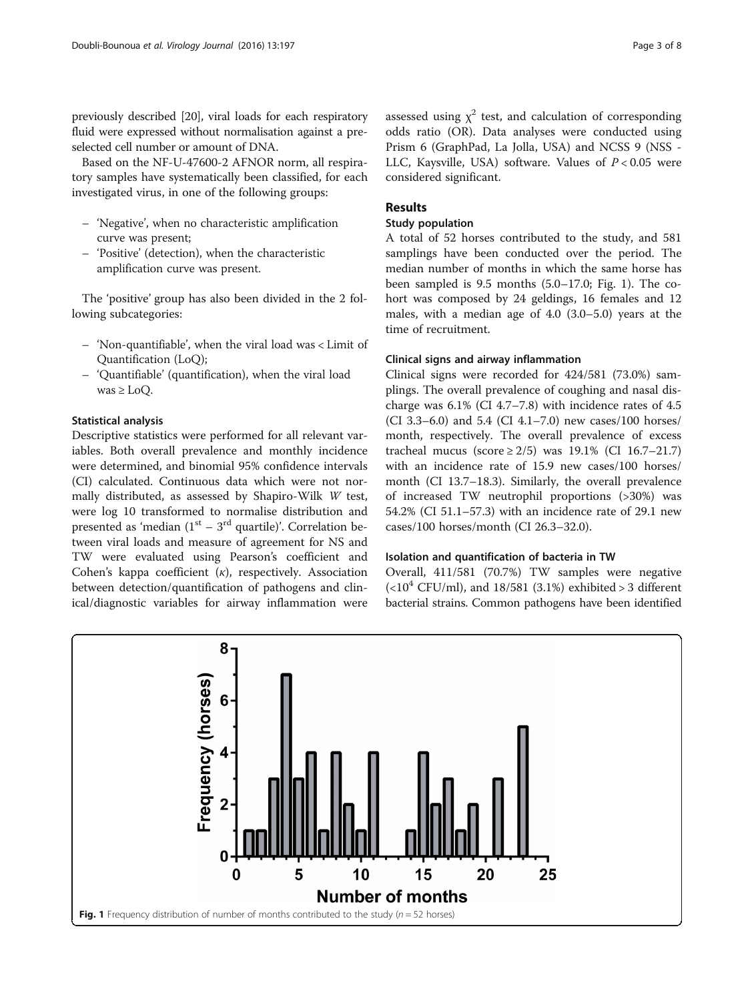previously described [\[20\]](#page-7-0), viral loads for each respiratory fluid were expressed without normalisation against a preselected cell number or amount of DNA.

Based on the NF-U-47600-2 AFNOR norm, all respiratory samples have systematically been classified, for each investigated virus, in one of the following groups:

- 'Negative', when no characteristic amplification curve was present;
- 'Positive' (detection), when the characteristic amplification curve was present.

The 'positive' group has also been divided in the 2 following subcategories:

- 'Non-quantifiable', when the viral load was < Limit of Quantification (LoQ);
- 'Quantifiable' (quantification), when the viral load was  $\geq$  LoO.

## Statistical analysis

Descriptive statistics were performed for all relevant variables. Both overall prevalence and monthly incidence were determined, and binomial 95% confidence intervals (CI) calculated. Continuous data which were not normally distributed, as assessed by Shapiro-Wilk W test, were log 10 transformed to normalise distribution and presented as 'median  $(1<sup>st</sup> - 3<sup>rd</sup>$  quartile)'. Correlation between viral loads and measure of agreement for NS and TW were evaluated using Pearson's coefficient and Cohen's kappa coefficient  $(\kappa)$ , respectively. Association between detection/quantification of pathogens and clinical/diagnostic variables for airway inflammation were

assessed using  $\chi^2$  test, and calculation of corresponding odds ratio (OR). Data analyses were conducted using Prism 6 (GraphPad, La Jolla, USA) and NCSS 9 (NSS - LLC, Kaysville, USA) software. Values of  $P < 0.05$  were considered significant.

## Results

## Study population

A total of 52 horses contributed to the study, and 581 samplings have been conducted over the period. The median number of months in which the same horse has been sampled is 9.5 months (5.0–17.0; Fig. 1). The cohort was composed by 24 geldings, 16 females and 12 males, with a median age of 4.0 (3.0–5.0) years at the time of recruitment.

## Clinical signs and airway inflammation

Clinical signs were recorded for 424/581 (73.0%) samplings. The overall prevalence of coughing and nasal discharge was 6.1% (CI 4.7–7.8) with incidence rates of 4.5 (CI 3.3–6.0) and 5.4 (CI 4.1–7.0) new cases/100 horses/ month, respectively. The overall prevalence of excess tracheal mucus (score  $\geq$  2/5) was 19.1% (CI 16.7–21.7) with an incidence rate of 15.9 new cases/100 horses/ month (CI 13.7–18.3). Similarly, the overall prevalence of increased TW neutrophil proportions (>30%) was 54.2% (CI 51.1–57.3) with an incidence rate of 29.1 new cases/100 horses/month (CI 26.3–32.0).

## Isolation and quantification of bacteria in TW

Overall, 411/581 (70.7%) TW samples were negative  $(<10<sup>4</sup> CFU/ml)$ , and 18/581 (3.1%) exhibited > 3 different bacterial strains. Common pathogens have been identified

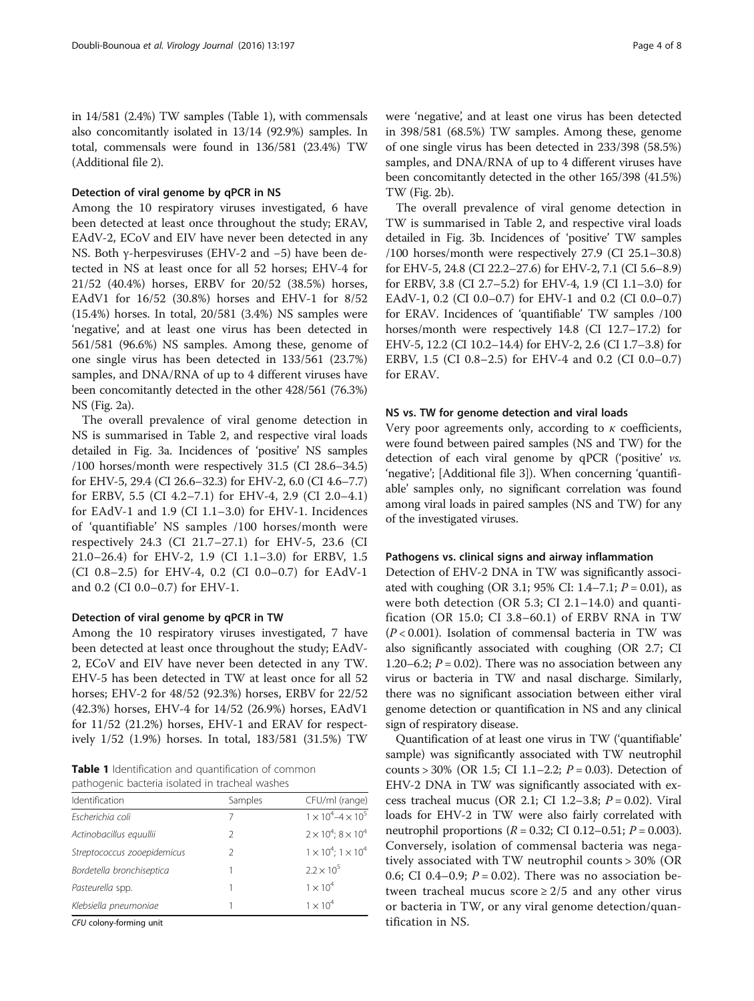in 14/581 (2.4%) TW samples (Table 1), with commensals also concomitantly isolated in 13/14 (92.9%) samples. In total, commensals were found in 136/581 (23.4%) TW (Additional file [2](#page-6-0)).

## Detection of viral genome by qPCR in NS

Among the 10 respiratory viruses investigated, 6 have been detected at least once throughout the study; ERAV, EAdV-2, ECoV and EIV have never been detected in any NS. Both γ-herpesviruses (EHV-2 and −5) have been detected in NS at least once for all 52 horses; EHV-4 for 21/52 (40.4%) horses, ERBV for 20/52 (38.5%) horses, EAdV1 for 16/52 (30.8%) horses and EHV-1 for 8/52 (15.4%) horses. In total, 20/581 (3.4%) NS samples were 'negative', and at least one virus has been detected in 561/581 (96.6%) NS samples. Among these, genome of one single virus has been detected in 133/561 (23.7%) samples, and DNA/RNA of up to 4 different viruses have been concomitantly detected in the other 428/561 (76.3%) NS (Fig. [2a\)](#page-4-0).

The overall prevalence of viral genome detection in NS is summarised in Table [2,](#page-4-0) and respective viral loads detailed in Fig. [3a](#page-5-0). Incidences of 'positive' NS samples /100 horses/month were respectively 31.5 (CI 28.6–34.5) for EHV-5, 29.4 (CI 26.6–32.3) for EHV-2, 6.0 (CI 4.6–7.7) for ERBV, 5.5 (CI 4.2–7.1) for EHV-4, 2.9 (CI 2.0–4.1) for EAdV-1 and 1.9 (CI 1.1–3.0) for EHV-1. Incidences of 'quantifiable' NS samples /100 horses/month were respectively 24.3 (CI 21.7–27.1) for EHV-5, 23.6 (CI 21.0–26.4) for EHV-2, 1.9 (CI 1.1–3.0) for ERBV, 1.5 (CI 0.8–2.5) for EHV-4, 0.2 (CI 0.0–0.7) for EAdV-1 and 0.2 (CI 0.0–0.7) for EHV-1.

### Detection of viral genome by qPCR in TW

Among the 10 respiratory viruses investigated, 7 have been detected at least once throughout the study; EAdV-2, ECoV and EIV have never been detected in any TW. EHV-5 has been detected in TW at least once for all 52 horses; EHV-2 for 48/52 (92.3%) horses, ERBV for 22/52 (42.3%) horses, EHV-4 for 14/52 (26.9%) horses, EAdV1 for 11/52 (21.2%) horses, EHV-1 and ERAV for respectively 1/52 (1.9%) horses. In total, 183/581 (31.5%) TW

Table 1 Identification and quantification of common pathogenic bacteria isolated in tracheal washes

| Identification              | Samples       | CFU/ml (range)                    |
|-----------------------------|---------------|-----------------------------------|
| Escherichia coli            |               | $1 \times 10^4 - 4 \times 10^5$   |
| Actinobacillus equullii     | $\mathcal{P}$ | $2 \times 10^4$ ; $8 \times 10^4$ |
| Streptococcus zooepidemicus | $\mathcal{P}$ | $1 \times 10^4$ ; $1 \times 10^4$ |
| Bordetella bronchiseptica   |               | $2.2 \times 10^{5}$               |
| Pasteurella spp.            |               | $1 \times 10^4$                   |
| Klebsiella pneumoniae       |               | $1 \times 10^4$                   |

CFU colony-forming unit

were 'negative', and at least one virus has been detected in 398/581 (68.5%) TW samples. Among these, genome of one single virus has been detected in 233/398 (58.5%) samples, and DNA/RNA of up to 4 different viruses have been concomitantly detected in the other 165/398 (41.5%) TW (Fig. [2b](#page-4-0)).

The overall prevalence of viral genome detection in TW is summarised in Table [2,](#page-4-0) and respective viral loads detailed in Fig. [3b.](#page-5-0) Incidences of 'positive' TW samples /100 horses/month were respectively 27.9 (CI 25.1–30.8) for EHV-5, 24.8 (CI 22.2–27.6) for EHV-2, 7.1 (CI 5.6–8.9) for ERBV, 3.8 (CI 2.7–5.2) for EHV-4, 1.9 (CI 1.1–3.0) for EAdV-1, 0.2 (CI 0.0–0.7) for EHV-1 and 0.2 (CI 0.0–0.7) for ERAV. Incidences of 'quantifiable' TW samples /100 horses/month were respectively 14.8 (CI 12.7–17.2) for EHV-5, 12.2 (CI 10.2–14.4) for EHV-2, 2.6 (CI 1.7–3.8) for ERBV, 1.5 (CI 0.8–2.5) for EHV-4 and 0.2 (CI 0.0–0.7) for ERAV.

## NS vs. TW for genome detection and viral loads

Very poor agreements only, according to  $\kappa$  coefficients, were found between paired samples (NS and TW) for the detection of each viral genome by qPCR ('positive' vs. 'negative'; [Additional file [3](#page-6-0)]). When concerning 'quantifiable' samples only, no significant correlation was found among viral loads in paired samples (NS and TW) for any of the investigated viruses.

## Pathogens vs. clinical signs and airway inflammation

Detection of EHV-2 DNA in TW was significantly associated with coughing (OR 3.1; 95% CI: 1.4–7.1;  $P = 0.01$ ), as were both detection (OR 5.3; CI 2.1–14.0) and quantification (OR 15.0; CI 3.8–60.1) of ERBV RNA in TW  $(P < 0.001)$ . Isolation of commensal bacteria in TW was also significantly associated with coughing (OR 2.7; CI 1.20–6.2;  $P = 0.02$ ). There was no association between any virus or bacteria in TW and nasal discharge. Similarly, there was no significant association between either viral genome detection or quantification in NS and any clinical sign of respiratory disease.

Quantification of at least one virus in TW ('quantifiable' sample) was significantly associated with TW neutrophil counts > 30% (OR 1.5; CI 1.1–2.2;  $P = 0.03$ ). Detection of EHV-2 DNA in TW was significantly associated with excess tracheal mucus (OR 2.1; CI 1.2–3.8;  $P = 0.02$ ). Viral loads for EHV-2 in TW were also fairly correlated with neutrophil proportions ( $R = 0.32$ ; CI 0.12–0.51;  $P = 0.003$ ). Conversely, isolation of commensal bacteria was negatively associated with TW neutrophil counts > 30% (OR 0.6; CI 0.4–0.9;  $P = 0.02$ ). There was no association between tracheal mucus score  $\geq$  2/5 and any other virus or bacteria in TW, or any viral genome detection/quantification in NS.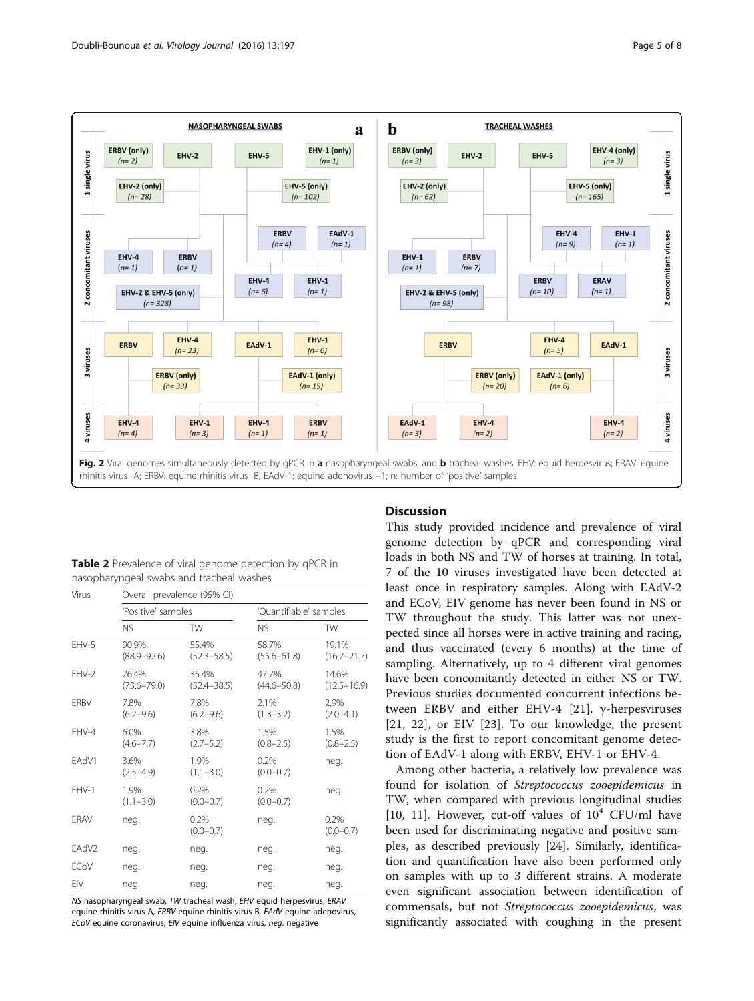<span id="page-4-0"></span>

|                                          | <b>Table 2</b> Prevalence of viral genome detection by qPCR in |
|------------------------------------------|----------------------------------------------------------------|
| nasopharyngeal swabs and tracheal washes |                                                                |

| Virus             | Overall prevalence (95% CI) |                          |                          |                          |  |
|-------------------|-----------------------------|--------------------------|--------------------------|--------------------------|--|
|                   | 'Positive' samples          |                          | 'Quantifiable' samples   |                          |  |
|                   | <b>NS</b>                   | TW                       | <b>NS</b>                | <b>TW</b>                |  |
| FHV-5             | 90.9%<br>$(88.9 - 92.6)$    | 55.4%<br>$(52.3 - 58.5)$ | 58.7%<br>$(55.6 - 61.8)$ | 19.1%<br>$(16.7 - 21.7)$ |  |
| FHV-2             | 76.4%<br>$(73.6 - 79.0)$    | 35.4%<br>$(32.4 - 38.5)$ | 47.7%<br>$(44.6 - 50.8)$ | 14.6%<br>$(12.5 - 16.9)$ |  |
| <b>ERBV</b>       | 7.8%<br>$(6.2 - 9.6)$       | 7.8%<br>$(6.2 - 9.6)$    | 2.1%<br>$(1.3 - 3.2)$    | 2.9%<br>$(2.0 - 4.1)$    |  |
| EHV-4             | 6.0%<br>$(4.6 - 7.7)$       | 3.8%<br>$(2.7 - 5.2)$    | 1.5%<br>$(0.8 - 2.5)$    | 1.5%<br>$(0.8 - 2.5)$    |  |
| EAdV1             | 3.6%<br>$(2.5 - 4.9)$       | 1.9%<br>$(1.1 - 3.0)$    | 0.2%<br>$(0.0 - 0.7)$    | neg.                     |  |
| $FHV-1$           | 1.9%<br>$(1.1 - 3.0)$       | 0.2%<br>$(0.0 - 0.7)$    | 0.2%<br>$(0.0 - 0.7)$    | neg.                     |  |
| <b>FRAV</b>       | neg.                        | 0.2%<br>$(0.0 - 0.7)$    | neg.                     | 0.2%<br>$(0.0 - 0.7)$    |  |
| FAdV <sub>2</sub> | neg.                        | neg.                     | neg.                     | neg.                     |  |
| ECoV              | neg.                        | neg.                     | neg.                     | neg.                     |  |
| <b>FIV</b>        | neg.                        | neg.                     | neg.                     | neg.                     |  |

NS nasopharyngeal swab, TW tracheal wash, EHV equid herpesvirus, ERAV equine rhinitis virus A, ERBV equine rhinitis virus B, EAdV equine adenovirus, ECoV equine coronavirus, EIV equine influenza virus, neg. negative

## **Discussion**

This study provided incidence and prevalence of viral genome detection by qPCR and corresponding viral loads in both NS and TW of horses at training. In total, 7 of the 10 viruses investigated have been detected at least once in respiratory samples. Along with EAdV-2 and ECoV, EIV genome has never been found in NS or TW throughout the study. This latter was not unexpected since all horses were in active training and racing, and thus vaccinated (every 6 months) at the time of sampling. Alternatively, up to 4 different viral genomes have been concomitantly detected in either NS or TW. Previous studies documented concurrent infections be-tween ERBV and either EHV-4 [[21\]](#page-7-0), γ-herpesviruses [[21, 22](#page-7-0)], or EIV [[23\]](#page-7-0). To our knowledge, the present study is the first to report concomitant genome detection of EAdV-1 along with ERBV, EHV-1 or EHV-4.

Among other bacteria, a relatively low prevalence was found for isolation of Streptococcus zooepidemicus in TW, when compared with previous longitudinal studies [[10, 11\]](#page-6-0). However, cut-off values of  $10^4$  CFU/ml have been used for discriminating negative and positive samples, as described previously [\[24](#page-7-0)]. Similarly, identification and quantification have also been performed only on samples with up to 3 different strains. A moderate even significant association between identification of commensals, but not Streptococcus zooepidemicus, was significantly associated with coughing in the present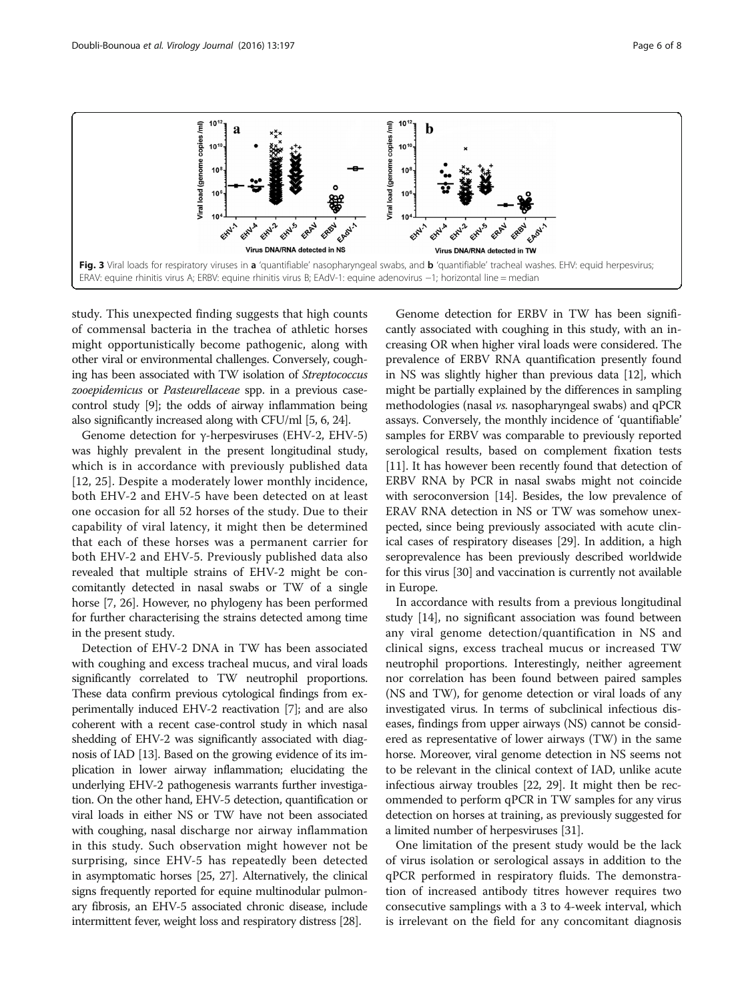<span id="page-5-0"></span>

study. This unexpected finding suggests that high counts of commensal bacteria in the trachea of athletic horses might opportunistically become pathogenic, along with other viral or environmental challenges. Conversely, coughing has been associated with TW isolation of Streptococcus zooepidemicus or Pasteurellaceae spp. in a previous casecontrol study [\[9](#page-6-0)]; the odds of airway inflammation being also significantly increased along with CFU/ml [\[5, 6](#page-6-0), [24](#page-7-0)].

Genome detection for γ-herpesviruses (EHV-2, EHV-5) was highly prevalent in the present longitudinal study, which is in accordance with previously published data [[12,](#page-6-0) [25](#page-7-0)]. Despite a moderately lower monthly incidence, both EHV-2 and EHV-5 have been detected on at least one occasion for all 52 horses of the study. Due to their capability of viral latency, it might then be determined that each of these horses was a permanent carrier for both EHV-2 and EHV-5. Previously published data also revealed that multiple strains of EHV-2 might be concomitantly detected in nasal swabs or TW of a single horse [[7,](#page-6-0) [26](#page-7-0)]. However, no phylogeny has been performed for further characterising the strains detected among time in the present study.

Detection of EHV-2 DNA in TW has been associated with coughing and excess tracheal mucus, and viral loads significantly correlated to TW neutrophil proportions. These data confirm previous cytological findings from experimentally induced EHV-2 reactivation [[7](#page-6-0)]; and are also coherent with a recent case-control study in which nasal shedding of EHV-2 was significantly associated with diagnosis of IAD [\[13\]](#page-6-0). Based on the growing evidence of its implication in lower airway inflammation; elucidating the underlying EHV-2 pathogenesis warrants further investigation. On the other hand, EHV-5 detection, quantification or viral loads in either NS or TW have not been associated with coughing, nasal discharge nor airway inflammation in this study. Such observation might however not be surprising, since EHV-5 has repeatedly been detected in asymptomatic horses [\[25, 27\]](#page-7-0). Alternatively, the clinical signs frequently reported for equine multinodular pulmonary fibrosis, an EHV-5 associated chronic disease, include intermittent fever, weight loss and respiratory distress [\[28\]](#page-7-0).

Genome detection for ERBV in TW has been significantly associated with coughing in this study, with an increasing OR when higher viral loads were considered. The prevalence of ERBV RNA quantification presently found in NS was slightly higher than previous data [[12\]](#page-6-0), which might be partially explained by the differences in sampling methodologies (nasal vs. nasopharyngeal swabs) and qPCR assays. Conversely, the monthly incidence of 'quantifiable' samples for ERBV was comparable to previously reported serological results, based on complement fixation tests [[11](#page-6-0)]. It has however been recently found that detection of ERBV RNA by PCR in nasal swabs might not coincide with seroconversion [[14](#page-6-0)]. Besides, the low prevalence of ERAV RNA detection in NS or TW was somehow unexpected, since being previously associated with acute clinical cases of respiratory diseases [\[29\]](#page-7-0). In addition, a high seroprevalence has been previously described worldwide for this virus [[30](#page-7-0)] and vaccination is currently not available in Europe.

In accordance with results from a previous longitudinal study [\[14\]](#page-6-0), no significant association was found between any viral genome detection/quantification in NS and clinical signs, excess tracheal mucus or increased TW neutrophil proportions. Interestingly, neither agreement nor correlation has been found between paired samples (NS and TW), for genome detection or viral loads of any investigated virus. In terms of subclinical infectious diseases, findings from upper airways (NS) cannot be considered as representative of lower airways (TW) in the same horse. Moreover, viral genome detection in NS seems not to be relevant in the clinical context of IAD, unlike acute infectious airway troubles [\[22, 29](#page-7-0)]. It might then be recommended to perform qPCR in TW samples for any virus detection on horses at training, as previously suggested for a limited number of herpesviruses [\[31\]](#page-7-0).

One limitation of the present study would be the lack of virus isolation or serological assays in addition to the qPCR performed in respiratory fluids. The demonstration of increased antibody titres however requires two consecutive samplings with a 3 to 4-week interval, which is irrelevant on the field for any concomitant diagnosis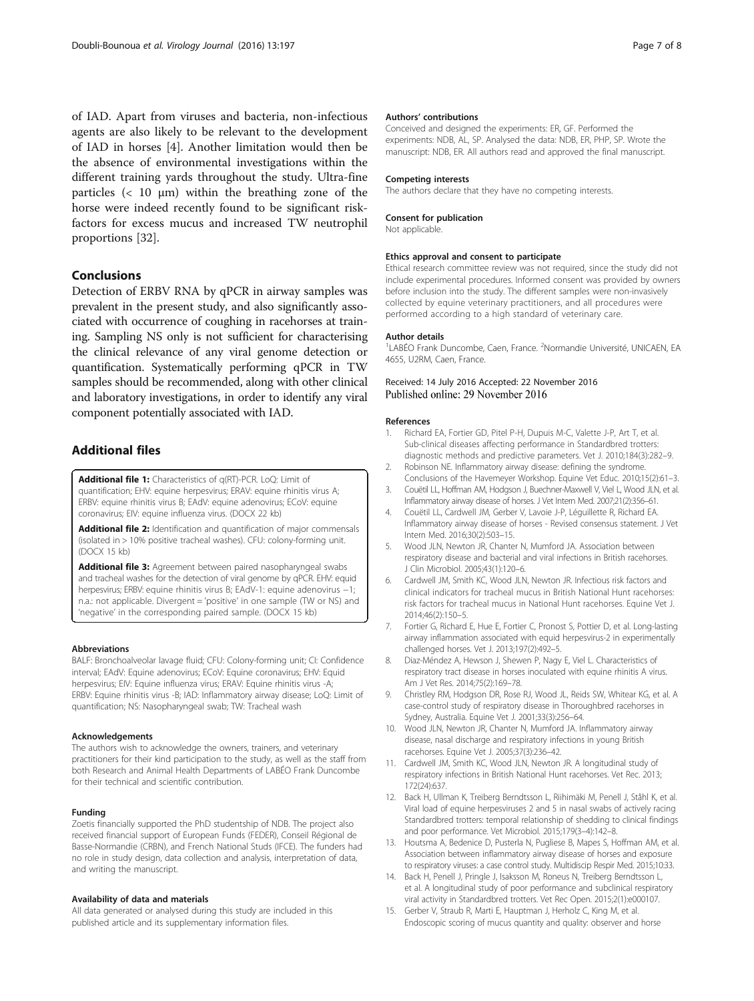<span id="page-6-0"></span>of IAD. Apart from viruses and bacteria, non-infectious agents are also likely to be relevant to the development of IAD in horses [4]. Another limitation would then be the absence of environmental investigations within the different training yards throughout the study. Ultra-fine particles  $\left($   $\lt$  10  $\mu$ m) within the breathing zone of the horse were indeed recently found to be significant riskfactors for excess mucus and increased TW neutrophil proportions [[32\]](#page-7-0).

## Conclusions

Detection of ERBV RNA by qPCR in airway samples was prevalent in the present study, and also significantly associated with occurrence of coughing in racehorses at training. Sampling NS only is not sufficient for characterising the clinical relevance of any viral genome detection or quantification. Systematically performing qPCR in TW samples should be recommended, along with other clinical and laboratory investigations, in order to identify any viral component potentially associated with IAD.

## Additional files

[Additional file 1:](dx.doi.org/10.1186/s12985-016-0657-5) Characteristics of q(RT)-PCR. LoQ: Limit of quantification; EHV: equine herpesvirus; ERAV: equine rhinitis virus A; ERBV: equine rhinitis virus B; EAdV: equine adenovirus; ECoV: equine coronavirus; EIV: equine influenza virus. (DOCX 22 kb)

[Additional file 2:](dx.doi.org/10.1186/s12985-016-0657-5) Identification and quantification of major commensals (isolated in > 10% positive tracheal washes). CFU: colony-forming unit. (DOCX 15 kb)

[Additional file 3:](dx.doi.org/10.1186/s12985-016-0657-5) Agreement between paired nasopharyngeal swabs and tracheal washes for the detection of viral genome by qPCR. EHV: equid herpesvirus; ERBV: equine rhinitis virus B; EAdV-1: equine adenovirus −1; n.a.: not applicable. Divergent = 'positive' in one sample (TW or NS) and 'negative' in the corresponding paired sample. (DOCX 15 kb)

#### Abbreviations

BALF: Bronchoalveolar lavage fluid; CFU: Colony-forming unit; CI: Confidence interval; EAdV: Equine adenovirus; ECoV: Equine coronavirus; EHV: Equid herpesvirus; EIV: Equine influenza virus; ERAV: Equine rhinitis virus -A; ERBV: Equine rhinitis virus -B; IAD: Inflammatory airway disease; LoQ: Limit of quantification; NS: Nasopharyngeal swab; TW: Tracheal wash

## Acknowledgements

The authors wish to acknowledge the owners, trainers, and veterinary practitioners for their kind participation to the study, as well as the staff from both Research and Animal Health Departments of LABÉO Frank Duncombe for their technical and scientific contribution.

#### Funding

Zoetis financially supported the PhD studentship of NDB. The project also received financial support of European Funds (FEDER), Conseil Régional de Basse-Normandie (CRBN), and French National Studs (IFCE). The funders had no role in study design, data collection and analysis, interpretation of data, and writing the manuscript.

#### Availability of data and materials

All data generated or analysed during this study are included in this published article and its supplementary information files.

#### Authors' contributions

Conceived and designed the experiments: ER, GF. Performed the experiments: NDB, AL, SP. Analysed the data: NDB, ER, PHP, SP. Wrote the manuscript: NDB, ER. All authors read and approved the final manuscript.

#### Competing interests

The authors declare that they have no competing interests.

#### Consent for publication

Not applicable.

#### Ethics approval and consent to participate

Ethical research committee review was not required, since the study did not include experimental procedures. Informed consent was provided by owners before inclusion into the study. The different samples were non-invasively collected by equine veterinary practitioners, and all procedures were performed according to a high standard of veterinary care.

#### Author details

<sup>1</sup>LABÉO Frank Duncombe, Caen, France. <sup>2</sup>Normandie Université, UNICAEN, EA 4655, U2RM, Caen, France.

## Received: 14 July 2016 Accepted: 22 November 2016 Published online: 29 November 2016

#### References

- 1. Richard EA, Fortier GD, Pitel P-H, Dupuis M-C, Valette J-P, Art T, et al. Sub-clinical diseases affecting performance in Standardbred trotters: diagnostic methods and predictive parameters. Vet J. 2010;184(3):282–9.
- 2. Robinson NE. Inflammatory airway disease: defining the syndrome Conclusions of the Havemeyer Workshop. Equine Vet Educ. 2010;15(2):61–3.
- 3. Couëtil LL, Hoffman AM, Hodgson J, Buechner-Maxwell V, Viel L, Wood JLN, et al. Inflammatory airway disease of horses. J Vet Intern Med. 2007;21(2):356–61.
- 4. Couëtil LL, Cardwell JM, Gerber V, Lavoie J-P, Léguillette R, Richard EA. Inflammatory airway disease of horses - Revised consensus statement. J Vet Intern Med. 2016;30(2):503–15.
- 5. Wood JLN, Newton JR, Chanter N, Mumford JA. Association between respiratory disease and bacterial and viral infections in British racehorses. J Clin Microbiol. 2005;43(1):120–6.
- Cardwell JM, Smith KC, Wood JLN, Newton JR. Infectious risk factors and clinical indicators for tracheal mucus in British National Hunt racehorses: risk factors for tracheal mucus in National Hunt racehorses. Equine Vet J. 2014;46(2):150–5.
- 7. Fortier G, Richard E, Hue E, Fortier C, Pronost S, Pottier D, et al. Long-lasting airway inflammation associated with equid herpesvirus-2 in experimentally challenged horses. Vet J. 2013;197(2):492–5.
- Diaz-Méndez A, Hewson J, Shewen P, Nagy E, Viel L. Characteristics of respiratory tract disease in horses inoculated with equine rhinitis A virus. Am J Vet Res. 2014;75(2):169–78.
- 9. Christley RM, Hodgson DR, Rose RJ, Wood JL, Reids SW, Whitear KG, et al. A case-control study of respiratory disease in Thoroughbred racehorses in Sydney, Australia. Equine Vet J. 2001;33(3):256–64.
- 10. Wood JLN, Newton JR, Chanter N, Mumford JA. Inflammatory airway disease, nasal discharge and respiratory infections in young British racehorses. Equine Vet J. 2005;37(3):236–42.
- 11. Cardwell JM, Smith KC, Wood JLN, Newton JR. A longitudinal study of respiratory infections in British National Hunt racehorses. Vet Rec. 2013; 172(24):637.
- 12. Back H, Ullman K, Treiberg Berndtsson L, Riihimäki M, Penell J, Ståhl K, et al. Viral load of equine herpesviruses 2 and 5 in nasal swabs of actively racing Standardbred trotters: temporal relationship of shedding to clinical findings and poor performance. Vet Microbiol. 2015;179(3–4):142–8.
- 13. Houtsma A, Bedenice D, Pusterla N, Pugliese B, Mapes S, Hoffman AM, et al. Association between inflammatory airway disease of horses and exposure to respiratory viruses: a case control study. Multidiscip Respir Med. 2015;10:33.
- 14. Back H, Penell J, Pringle J, Isaksson M, Roneus N, Treiberg Berndtsson L, et al. A longitudinal study of poor performance and subclinical respiratory viral activity in Standardbred trotters. Vet Rec Open. 2015;2(1):e000107.
- 15. Gerber V, Straub R, Marti E, Hauptman J, Herholz C, King M, et al. Endoscopic scoring of mucus quantity and quality: observer and horse